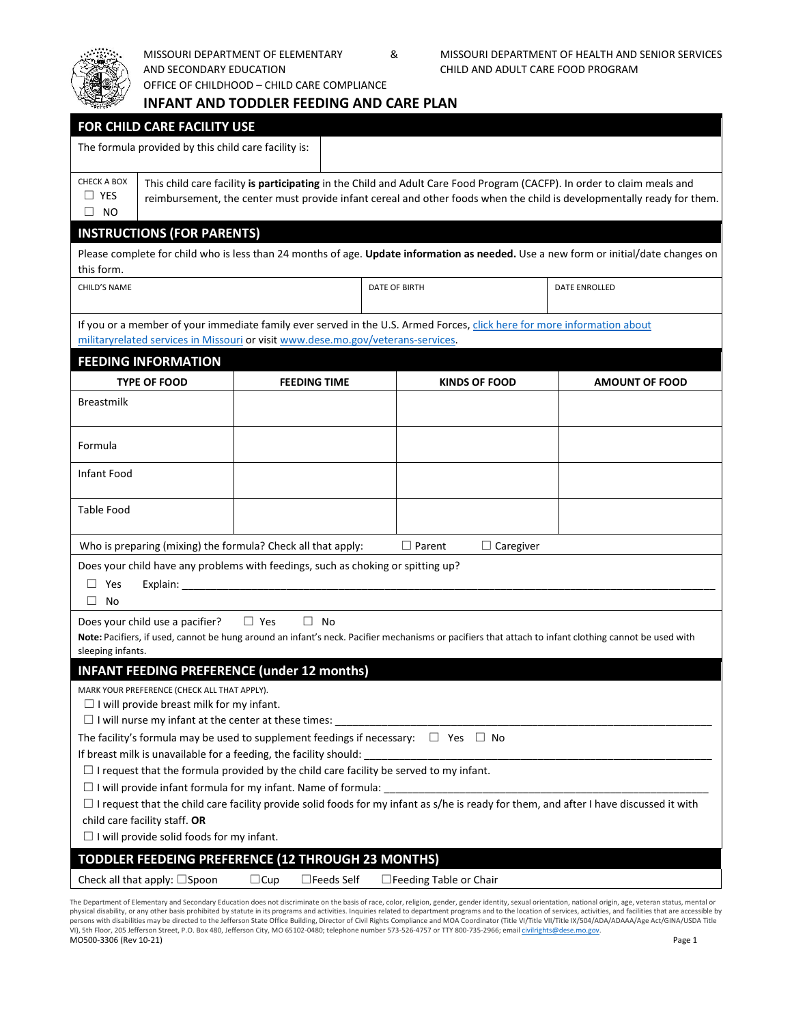

AND SECONDARY EDUCATION CHILD AND ADULT CARE FOOD PROGRAM

OFFICE OF CHILDHOOD – CHILD CARE COMPLIANCE

|                                                                                                                                                                                                                                          | <b>INFANT AND TODDLER FEEDING AND CARE PLAN</b>                                                                                                                                                                                                   |                                                    |  |                               |                       |  |  |  |
|------------------------------------------------------------------------------------------------------------------------------------------------------------------------------------------------------------------------------------------|---------------------------------------------------------------------------------------------------------------------------------------------------------------------------------------------------------------------------------------------------|----------------------------------------------------|--|-------------------------------|-----------------------|--|--|--|
| <b>FOR CHILD CARE FACILITY USE</b>                                                                                                                                                                                                       |                                                                                                                                                                                                                                                   |                                                    |  |                               |                       |  |  |  |
| The formula provided by this child care facility is:                                                                                                                                                                                     |                                                                                                                                                                                                                                                   |                                                    |  |                               |                       |  |  |  |
| <b>CHECK A BOX</b><br>$\Box$ YES<br><b>NO</b><br>⊔.                                                                                                                                                                                      | This child care facility is participating in the Child and Adult Care Food Program (CACFP). In order to claim meals and<br>reimbursement, the center must provide infant cereal and other foods when the child is developmentally ready for them. |                                                    |  |                               |                       |  |  |  |
| <b>INSTRUCTIONS (FOR PARENTS)</b>                                                                                                                                                                                                        |                                                                                                                                                                                                                                                   |                                                    |  |                               |                       |  |  |  |
| Please complete for child who is less than 24 months of age. Update information as needed. Use a new form or initial/date changes on<br>this form.                                                                                       |                                                                                                                                                                                                                                                   |                                                    |  |                               |                       |  |  |  |
| CHILD'S NAME                                                                                                                                                                                                                             |                                                                                                                                                                                                                                                   |                                                    |  | DATE OF BIRTH                 | <b>DATE ENROLLED</b>  |  |  |  |
| If you or a member of your immediate family ever served in the U.S. Armed Forces, click here for more information about<br>militaryrelated services in Missouri or visit www.dese.mo.gov/veterans-services.                              |                                                                                                                                                                                                                                                   |                                                    |  |                               |                       |  |  |  |
| <b>FEEDING INFORMATION</b>                                                                                                                                                                                                               |                                                                                                                                                                                                                                                   |                                                    |  |                               |                       |  |  |  |
|                                                                                                                                                                                                                                          | <b>TYPE OF FOOD</b>                                                                                                                                                                                                                               | <b>FEEDING TIME</b>                                |  | <b>KINDS OF FOOD</b>          | <b>AMOUNT OF FOOD</b> |  |  |  |
| <b>Breastmilk</b>                                                                                                                                                                                                                        |                                                                                                                                                                                                                                                   |                                                    |  |                               |                       |  |  |  |
| Formula                                                                                                                                                                                                                                  |                                                                                                                                                                                                                                                   |                                                    |  |                               |                       |  |  |  |
| Infant Food                                                                                                                                                                                                                              |                                                                                                                                                                                                                                                   |                                                    |  |                               |                       |  |  |  |
| Table Food                                                                                                                                                                                                                               |                                                                                                                                                                                                                                                   |                                                    |  |                               |                       |  |  |  |
| $\Box$ Parent<br>Who is preparing (mixing) the formula? Check all that apply:<br>$\Box$ Caregiver                                                                                                                                        |                                                                                                                                                                                                                                                   |                                                    |  |                               |                       |  |  |  |
| Does your child have any problems with feedings, such as choking or spitting up?<br>$\Box$ Yes                                                                                                                                           |                                                                                                                                                                                                                                                   |                                                    |  |                               |                       |  |  |  |
| $\Box$ No                                                                                                                                                                                                                                |                                                                                                                                                                                                                                                   |                                                    |  |                               |                       |  |  |  |
| $\Box$ Yes<br>$\Box$ No<br>Does your child use a pacifier?<br>Note: Pacifiers, if used, cannot be hung around an infant's neck. Pacifier mechanisms or pacifiers that attach to infant clothing cannot be used with<br>sleeping infants. |                                                                                                                                                                                                                                                   |                                                    |  |                               |                       |  |  |  |
| <b>INFANT FEEDING PREFERENCE (under 12 months)</b>                                                                                                                                                                                       |                                                                                                                                                                                                                                                   |                                                    |  |                               |                       |  |  |  |
| MARK YOUR PREFERENCE (CHECK ALL THAT APPLY).<br>$\Box$ I will provide breast milk for my infant.                                                                                                                                         |                                                                                                                                                                                                                                                   |                                                    |  |                               |                       |  |  |  |
| The facility's formula may be used to supplement feedings if necessary: $\Box$ Yes $\Box$ No                                                                                                                                             |                                                                                                                                                                                                                                                   |                                                    |  |                               |                       |  |  |  |
| If breast milk is unavailable for a feeding, the facility should:                                                                                                                                                                        |                                                                                                                                                                                                                                                   |                                                    |  |                               |                       |  |  |  |
| $\Box$ I request that the formula provided by the child care facility be served to my infant.<br>$\Box$ I will provide infant formula for my infant. Name of formula:                                                                    |                                                                                                                                                                                                                                                   |                                                    |  |                               |                       |  |  |  |
| $\Box$ I request that the child care facility provide solid foods for my infant as s/he is ready for them, and after I have discussed it with                                                                                            |                                                                                                                                                                                                                                                   |                                                    |  |                               |                       |  |  |  |
| child care facility staff. OR                                                                                                                                                                                                            |                                                                                                                                                                                                                                                   |                                                    |  |                               |                       |  |  |  |
|                                                                                                                                                                                                                                          | $\Box$ I will provide solid foods for my infant.                                                                                                                                                                                                  |                                                    |  |                               |                       |  |  |  |
|                                                                                                                                                                                                                                          |                                                                                                                                                                                                                                                   | TODDLER FEEDEING PREFERENCE (12 THROUGH 23 MONTHS) |  |                               |                       |  |  |  |
|                                                                                                                                                                                                                                          | Check all that apply: $\square$ Spoon                                                                                                                                                                                                             | $\Box$ Feeds Self<br>$\Box$ Cup                    |  | $\Box$ Feeding Table or Chair |                       |  |  |  |

The Department of Elementary and Secondary Education does not discriminate on the basis of race, color, religion, gender, gender identity, sexual orientation, national origin, age, veteran status, mental or physical disability, or any other basis prohibited by statute in its programs and activities. Inquiries related to department programs and to the location of services, activities, and facilities that are accessible by erro